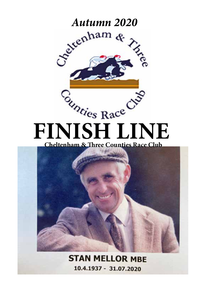

 **Cheltenham & Three Counties Race Club**



**STAN MELLOR MBF** 10.4.1937 - 31.07.2020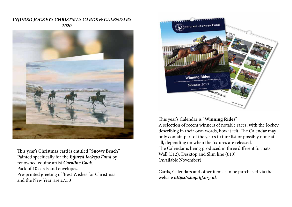*INJURED JOCKEYS CHRISTMAS CARDS & CALENDARS 2020*



This year's Christmas card is entitled "**Snowy Beach**" Painted specifically for the *Injured Jockeys Fund* by renowned equine artist *Caroline Cook*. Pack of 10 cards and envelopes. Pre-printed greeting of 'Best Wishes for Christmas and the New Year' are £7.50



This year's Calendar is "**Winning Rides**".

A selection of recent winners of notable races, with the Jockey describing in their own words, how it felt. The Calendar may only contain part of the year's fixture list or possibly none at all, depending on when the fixtures are released. The Calendar is being produced in three different formats, Wall  $(E12)$ , Desktop and Slim line  $(E10)$ (Available November)

Cards, Calendars and other items can be purchased via the website *https://shop.ijf.org.uk*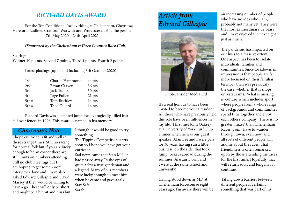# *RICHARD DAVIS AWARD*

For the Top Conditional Jockey riding at Cheltenham, Chepstow, Hereford, Ludlow, Stratford, Warwick and Worcester during the period 7th May 2020 – 24th April 2021

#### *(Sponsored by the Cheltenham &Three Counties Race Club)*

Scoring:

Winner 10 points, Second 7 points, Third 4 points, Fourth 2 points.

Latest placings (up to and including 6th October 2020)

| 1st    | Charlie Hammond | 44 pts |
|--------|-----------------|--------|
| 2nd    | Bryan Carver    | 36 pts |
| 3rd    | Jack Tudor      | 30 pts |
| 4th    | Page Fuller     | 21 pts |
| $5th=$ | Tom Buckley     | 14 pts |
| $5th=$ | Theo Gillard    | 14 pts |

Richard Davis was a talented jump jockey tragically killed in a fall over fences in 1996. This award is named in his memory.

## *Chairman's Note*

I hope everyone is fit and well in these strange times. Still no racing for normal folk but if you are lucky enough to be an owner there are still limits on numbers attending. Still no club meetings but I am hoping to get some Zoom interviews done and I have also asked Edward Gillespie and David Massey if they would be willing to have a go. These will only be short and might be a bit hit and miss but

### I though it would be good to try something.

The Tipping Competition starts soon so I hope you have got your entries in.

Sad news came that Stan Mellor had passed away. In the eyes of quite a few a true gentleman and a legend. Many of our members were lucky enough to meet him when he came and gave a talk. Stay Safe. Sarah

# *Article from Edward Gillespie*



Photo: Insider Media Ltd

It's a real honour to have been invited to become your President. All those who have previously held this role have been influences in my life. I first met John Oaksey at a University of York Turf Club Dinner when he was our guest speaker; Alan Lee and I were pals for 30 years having run a little business, on the side, that took Jump Jockeys abroad during the summer; Alastair Down and I were at the same school and university!

Having stood down as MD at Cheltenham Racecourse eight years ago, I'm aware there will be an increasing number of people who have no idea who I am, probably not many yet. They were the most extraordinary 32 years and I have enjoyed the next eight just as much.

The pandemic has impacted on our lives to a massive extent. One aspect has been to isolate individuals, families and communities. Since lockdown, my impression is that people are far more focussed on their familiar territory than was previously the case, whether that is shops or restaurants. What is missing is 'culture' which includes sport, where people from a whole range of backgrounds and communities spend time together and enjoy each other's company. There is no greater 'mixer' than Cheltenham Races. I only have to wander through town, even now, and all sorts of different people will ask me about the races. That friendliness is often remarked upon by those attending the races for the first time. Hopefully, that will return soon and long may it continue.

Taking down barriers between different people is certainly something that was part of my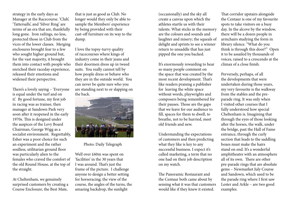strategy in the early days as Manager at the Racecourse. 'Club', 'Tattersalls', and 'Silver Ring' are terms of an era that are, thankfully long gone. Iron railings, no less, protected those in Club from the vices of the lower classes. Merging enclosures brought fear to a few who sought higher ground but, for the vast majority, it brought them into contact with people who enriched their raceday experience, released their emotions and widened their perspective.

There's a lovely saying – 'Everyone is equal under the turf and on it'. By good fortune, my first job in racing was as trainee, then manager at Sandown Park very soon after it reopened in the early 1970s. This is designed under the auspices of the Levy Board Chairman, George Wigg as a socialist environment. Regrettably, Esher was a poor choice for such an experiment and the rather soulless, utilitarian ground floor was particularly alien to the females who craved the comfort of the old Round House, at the top of the straight.

At Cheltenham, we genuinely surprised customers by creating a Course Enclosure, the Best Mate,

that is just as good as Club. No longer would they only be able to sample the Members' experience by being provided with their cast-off furniture on its way to the dump.

I love the topsy-turvy quality of racecourses where kings of industry come in their jeans and their doormen dress up in tweed suits. You really cannot tell by how people dress or behave who they are in the outside world. You can never be quite sure who you are standing next to or slapping on the back.



#### Photo: Daily Telegraph

Well over £60m was spent on 'facilities' in the 30 years that I was around. That's just the frame of the picture. I challenge anyone to design a better setting for horseracing; the view of the course, the angles of the turns, the amazing backdrop, the sunlight

(occasionally) and the sky all create a canvas upon which the athletes startle us with their talents. What sticks in the memory are the colours and sounds and laughter and misery; the squeals of delight and sprints to see a winner return to unsaddle that has just pipped the one you backed.

It's enormously rewarding to hear so many people comment on the space that was created by the most recent development. That's like readers praising a publisher for leaving the white space without words, playwrights and composers being remembered for their pauses. Those are the gaps that we leave for our audience to fill, spaces for them to dwell, to breathe, not to be hurried, meet old friends and new.

Understanding the expectations of customers and then predicting what they like is key to any successful business. I expect it's called marketing, a term that no one had on their job description on my watch.

The Panoramic Restaurant and the Centaur both came about by sensing what it was that customers would like if they knew it existed.

That corridor upstairs alongside the Centaur is one of my favourite spots to take visitors on a busy day. In the alcove by the window, there will be a dozen people in armchairs studying the form in library silence. "What do you think is through this door?" Open it to be assailed by thousands of voices, raised to a crescendo at the climax of a close finish.

Perversely, perhaps, of all the developments that were undertaken during those years, my very favourite is the walkway from the stables and the preparade ring. It was only when I visited other courses that I fully understood how special Cheltenham is. Imagining that through the eyes of those looking after the horses, the walk, under the bridge, past the Hall of Fame entrance, through the curly section that leads to the saddling boxes must make the hairs stand on end. It's a wonderful amphitheatre with an atmosphere all of its own. There are other pre-parade rings that are absolute gems – Newmarket July Course and Sandown, which used to be the parade ring where I first saw Lester and Arkle – are two good examples.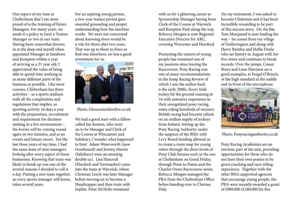One aspect of my time at Cheltenham that I am most proud of is the training of future Managers. For many years, we made it a policy to have a Trainee Manager or two in our team. Having been somewhat thrown in at the deep end myself when appointed Manager at Sandown and Kempton within a year of arriving as a 21 year old, I appreciated the value of being able to spend time working in as many different parts of the business as possible. Like most courses, Cheltenham has three activities – as a sports stadium with all the complexities and regulations that implies, as sporting activity 16 days a year with the preparation, recruitment and requirement for decisionmaking in a live environment – the horses will be coming round again in two minutes, and as an events and leisure resort. For the last three years of my time, I had the same team of nine managers looking after every aspect of those businesses. Knowing that team was likely to break up was one of the several reasons I decided to call it a day. Putting a new team together, as every sports manager will know, takes several years.

For an aspiring young person, a two-year trainee period gave essential grounding and proper understanding how the machine works. We were not concerned about knowing there would be a role for them after two years. That was up to them to force or find one elsewhere, no less a good investment for us.



Photo: Gloucestershirelive.co.uk

We had a good start with a fellow called Ian Renton, who went on to be Manager and Clerk of the Course at Wincanton and Salisbury. I wonder what happened to him! Adam Waterworth (now Goodwood) and Jeremy Martin (Salisbury) were an amazing double-act. Lisa Hancock (Haydock and Newmarket) came into the team at Warwick, where Christian Leech was later Manager before moving on to become a Handicapper and then train with Sophie. Peter McNeile remained

with us for a glittering career as Sponsorship Manager having been Clerk of the Course at Warwick and Kempton Park along the way. Rebecca Morgan is now Regional Executive Director for ARC, covering Worcester and Hereford.

Promoting the careers of young people has remained one of my passions since leaving the Racecourse. Pony Racing was one of many recommendations in the Jump Racing Review of which I was the author back n the early 2000s. Every Irish jockey hit the ground running at 16 with extensive experience in their unregulated pony racing, some riding hundreds of winners. British racing had become reliant on an endless supply of jockeys from Ireland. Setting up the Pony Racing Authority under the auspices of the BHA with Levy Board funding allowed us to create a route map for young riders through the three levels of Pony Club fixtures such as the one at Cheltenham on Good Friday, through Point to Points and the Charles Owen Racecourse series. Rebecca Morgan managed the PRA from the Cheltenham Office before handing over to Clarissa Daly.

On my retirement, I was asked to become Chairman and it has been incredibly rewarding to be part of this success story. On the flat, Tom Marquand is now leading the way – he comes from my village of Gotherington and along with Harry Bentley and Hollie Doyle who set history in August with her five-timer and continues to break records. Over the jumps, Conor Brace and Liam Harrison are a good examples, at Fergal O'Brien's, of the high standard in the saddle and in front of the microphone.



Photo: Ponyracingauthority.co.uk

Pony Racing Academies are an intrinsic part of the mix, providing opportunities for those who do not have their own ponies to be given coaching and race-riding experience. Together with the other BHA supported agencies that encourage young people, the PRA were recently awarded a grant of £900,000 (£180,000 for five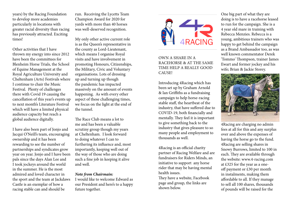years) by the Racing Foundation to develop more academies particularly in locations with greater racial diversity than racing has previously attracted. Exciting times!

Other activities that I have thrown my energy into since 2012 have been the committees for Blenheim Horse Trials, the School of Equine Management at the Royal Agriculture University and Cheltenham (Arts) Festivals where I continue to chair the Music Festival. Plenty of challenges there with Covid 19 causing the cancellation of this year's events up to next month's Literature Festival which will have a limited physical audience capacity but reach a global audience digitally.

I have also been part of Jonjo and Jacqui O'Neill's team, encouraging ownership and it has been rewarding to see the number of partnerships and syndicates grow year on year. Jonjo and I have been pals since the days Alan Lee and I took jockeys around the world in the summer. He is the most admired and loved character in the sport and the team at Jackdaws Castle is an exemplar of how a racing stable can and should be

run. Receiving the Lycetts Team Champion Award for 2020 for yards with more than 40 horses was well-deserved recognition.

My only other active current role is as the Queen's representative in the county as Lord-Lieutenant, which means I organise Royal visits and have involvement in promoting Honours, Citizenships, the Military, Civic and Voluntary organisations. Lots of dressing up and turning up though the pandemic has impacted massively on the amount of events happening. As with every other aspect of these challenging times, we focus on the light at the end of the tunnel.

The Race Club means a lot to me and has been a valuable scrutiny group though my years at Cheltenham. I look forward to doing whatever I can to furthering its influence and, most importantly, keeping well out of the way of those who are doing such a fine job in keeping it alive and well.

#### *Note from Chairmain:*

I would like to welcome Edward as our President and here's to a happy future together.



OWN A SHARE IN A RACEHORSE & AT THE SAME TIME HELP A REALLY GOOD CAUSE!

Introducing 4Racing which has been set up by Graham Arnold & Ian Griffiths as a fundraising campaign to help horse-racing stable staff, the heartbeat of the industry, that have suffered due to COVID-19, both financially and mentally. They feel it is important to give something back to the industry that gives pleasure to so many people and employment to thousands as well.

4Racing is an official charity partner of Racing Welfare and are fundraisers for Riders Minds, an initiative to support any horse rider that may be having mental health issues.

They have a website, Facebook page and group, the links are shown below.

One big part of what they are doing is to have a racehorse leased to run for the campaign. She is a 4 year old mare in training with Rebecca Menzies. Rebecca is a young, ambitious trainers who was happy to get behind the campaign as a Brand Ambassador too, as was well known commentator Derek 'Tommo' Thompson, trainer James Ewart and former jockey and his wife; Brian & Jackie Storey.



4Racing are charging no admin fees at all for this and any surplus over and above the expenses of having the horse go to the fund. 4Racing are selling shares in Snowy Burrows, limited to 100 in each. They are available through the website: www.4-racing.com at £325 for the year as a oneoff payment or £30 per month in instalments, making them affordable to all. If they manage to sell all 100 shares, thousands of pounds will be raised for the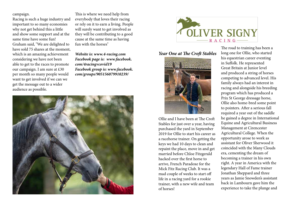#### campaign.

Racing is such a huge industry and important to so many economies why not get behind this a little and show some support and at the same time have some fun! Graham said, "We are delighted to have sold 75 shares at the moment, which is an amazing achievement considering we have not been able to get to the races to promote our campaign. I am sure at £30 per month so many people would want to get involved if we can we get the message out to a wider audience as possible.

This is where we need help from everybody that loves their racing or rely on it to earn a living. People will surely want to get involved as they will be contributing to a good cause at the same time as having fun with the horses"

*Website is: www.4-racing.com Facebook page is: www.facebook. com/4racingvcovid19 Facebook group is: www.facebook. com/groups/905156079910239/* 





#### *Year One at The Croft Stables*



Ollie and I have been at The Croft Stables for just over a year, having purchased the yard in September 2019 for Ollie to start his career as a racehorse trainer. On getting the keys we had 10 days to clean and repaint the place, move in and get married before Chloe Fitzgerald hacked over the first horse to arrive, French Paradoxe for the Mick Fitz Racing Club. It was a mad couple of weeks to start off life in a racing yard for a rookie trainer, with a new wife and team of horses!

The road to training has been a long one for Ollie, who started his equestrian career eventing in Suffolk. He represented Great Britain at Junior level and produced a string of horses competing to advanced level. His family always had an interest in racing and alongside his breeding program which has produced a Prix St George dressage horse, Ollie also home-bred some point to pointers. After a serious fall required a year out of the saddle he gained a degree in International Equine and Agricultural Business Management at Cirencester Agricultural College. When the opportunity arose to work as assistant for Oliver Sherwood it coincided with the Many Clouds era, cementing the dream of becoming a trainer in his own right. A year in America with the legendary Hall of Fame trainer Jonathan Sheppard and three years as Jamie Snowden's assistant back in Lambourn gave him the experience to take the plunge and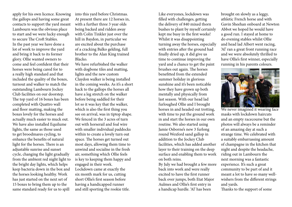apply for his own licence. Knowing the gallops and having some great contacts to support the yard meant Lambourn was the obvious place to start and we were lucky enough to secure The Croft Stables. In the past year we have done a lot of work to improve the yard and bring it back to its former glory. Ollie wanted owners to come and feel confident that their horses were being cared for to a really high standard and that included the quality of the boxes, turnout and walker to match the outstanding Lambourn Jockey Club facilities on our doorstep. The top yard of 16 boxes has been completed with Quattro wall and floor matting, making the boxes lovely for the horses and actually much easier to muck out. We have also installed Equilume lights, the same as those used to get broodmares cycling, to enhance the benefits of natural light for the horses. There is an adjustable sunrise and sunset cycle, changing the light gradually from the ambient red night light to the bright day lights, which helps keep bacteria down in the box and the horses looking healthy. Work has just started on the next set of 15 boxes to bring them up to the same standard ready for us to spill

into this yard before Christmas. At present there are 12 horses in, with a further three 3 year olds being backed and ridden away with Colin Tinkler just over the hill in Baydon, in particular we are excited about the purchase of a cracking Balko gelding, full brother to the Alan King trained Blacko.

We have refurbished the walker with dogbone tiles and matting, lights and the new custom Claydon walker is being installed in the coming weeks. As it's a short hack to the gallops the horses all have a leg stretch on the walker before being saddled for their lot so it was key that the walker, which is also the first thing you see on arrival, was in tiptop shape. We fenced in the 3 acres of turn out with horserail and foal wire with smaller individual paddocks within to create a lovely turn out space. The horses get turned out most days, allowing them time to unwind and socialise in the fresh air, something which Ollie feels is key to keeping them happy and engaged in their work.

Lockdown came at exactly the six month mark for us, cutting short Ollie's first season before having a handicapped runner and still sporting the rookie title. Like everyones, lockdown was filled with challenges, getting the delivery of 840 mixed thorn bushes to plant by myself certainly kept me busy in the first weeks! Whilst it was disappointing turning away the horses, especially with entries after the ground had finally dried up, it did give us time to continue improving the yard and a chance to get the paint brushes out again. The horses benefitted from the extended summer holiday in glorious sunshine and it's been noticable how they have grown up both mentally and physically from last season. With our head lad furloughed Ollie and I brought horses in and headed out trotting, with time to put the ground work in and start the horses in our own routine. We also started using Jamie Osborne's new 3 furlong round Wexford sand gallop in addition to the Jockey Club facilities, which has added another layer to their training on the deep surface and enabling them to work on both reins.

By July we had brought a few more back into work and were really excited to have the first runner back over jumps, both Etat Major Aulmes and Ollie's first entry in a handicap hurdle. 'Al' has been

brought on slowly as a leggy, athletic French horse and with Gavin Sheehan onboard at Newton Abbot we hoped he would have a good run. I stayed at home to do evening stables whilst Ollie and head lad Albert went racing, 'Al' ran a great front running race and we were absolutely thrilled to have Ollie's first winner, especially running in his parents colours.



We never imagined it wearing face masks with lockdown haircuts and an empty racecourse but the photos will always be a reminder of an amazing day at such a strange time. We celebrated with a suitably embarrassing amount of champagne in the kitchen that night and despite the headache, riding out in Lambourn the next morning was a fantastic experience. It's such a great community to be part of and it meant a lot to have so many wellwishers from the different strings and yards.

Thanks to the support of some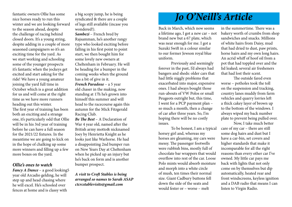fantastic owners Ollie has some nice horses ready to run this winter and we are looking forward to the season ahead, despite the challenge of racing behind closed doors. It's a young string, despite adding in a couple of more seasoned campaigners so it's an exciting time for the yard. As we start working and schooling some of the younger prospects it's fantastic when the jockeys get excited and start asking for the ride! We have a young amateur joining the yard full time in October which is a great addition for us and will come at the right time as we have more runners heading out this winter. The first year of training has been both an exciting and a strange one, it's particularly odd that Ollie will be in his 3rd year of training before he can have a full season for the 2021/22 fixtures. In the meantime we are going to kick on in the hope of chalking up some more winners and filling up a few more boxes on the yard.

#### *Ollie's ones to watch*

*Fancy A Dance* – a good looking5 year old Arcadio gelding, he will step up and head chasing where he will excel. He's schooled over fences at home and is classy with

a big scopy jump, he is being syndicated & there are a couple of legs still available (incase you wondered!).

*Sambezi* – French bred by Rajsamman, he's another rangy type who looked exciting before falling in his first point to point start, we then bought him for some lovely new owners at Cheltenham in February. He will be heading for a bumper in the coming weeks when the ground has a bit of give in it.

*French Paradoxe* – a 5 year old chaser in the making, now standing at 17h he's grown into himself this summer and will head to the racecourse again this autumn for the Mick Fitzgerald Racing Club.

*Be The Best* – A Declaration of War 4 year old, named after the British army motto& nicknamed Joey by Henrietta Knight as he looks just like Warhorse. He had a disappointing 2nd bumper run on New Years Day at Cheltenham when he picked up an injury but he's back on form and is another bumper prospect.

*A visit to Croft Stables is being arranged so names to Sarah ASAP ctcrcstablevisits@gmail.com*

# *Jo O'Neill's Article*

Back in March, which now seems a lifetime ago, I got a new car – not brand new but a 67 plate, which was near enough for me. I got a Suzuki Swift in a colour similar to our former Jewson royal blue uniform.

Previously and seemingly forever in the past, I'd always had bangers and sheds: older cars that had little niggly problems that exacerbated into major, expensive ones. I had always bought those run-abouts of VW Polos or small Peugeots outright but, this time, I went for a PCP payment plan – so much a month, then a change of car after three years. So, I'm hoping there will be no costly issues.

To be honest, I am a typical horsey girl and, whereas my horses are gleaming, my cars were messy. The passenger footwells were rubbish bins, mostly full of chocolate bar wrappers that would overflow into rest of the car. Loose Polo mints would absorb moisture and morph into a white circle of mush, ten times their normal size. Giant Cadbury buttons fell down the side of the seats and would fester or – worse – melt

in the summertime. There was a bakery worth of crumbs from shop sandwiches and snacks. Millions of white hairs from Daisy, mud that had dried to dust, paw prints, horse hairs and my own long hairs. An acrid whiff of hoof oil from a pot that had toppled over and the lid leaked; several air fresheners that had lost their scent.

The outside fared even worse – potholes took the toll on the suspension and tracking, country lanes muddy from farm vehicles and quarry lorries left a thick cakey layer of brown up to the bottom of the windows. I always wiped my back number plate to prevent being pulled over.

Now, I take much better care of my car – there are still some dog hairs and dust but I have a car-bin, set covers and higher standards that make it incomparable for all the right reasons than every other car I've owned. My little car pays me back with lights that not only come on by themselves but dip automatically, heated rear and front windscreens, keyless ignition and a DAB radio that means I can listen to Virgin Radio.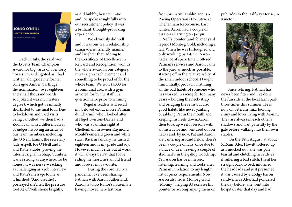

 Back in July, the yard won the Lycetts Team Champion Award for big yards of over forty horses. I was delighted as I had written, alongside my former colleague Amber Cartlidge, the nomination (over eighteen and a half thousand words, so I joked it was my master's degree), which got us initially shortlisted to the final four. Due to lockdown and yard visits being cancelled, we then had a Zoom call with a different array of judges involving an array of our team members, including the O'Neill family, the secretary Jade Aspell, Joe O'Neill and I and Katie Stubbs, proving the internet signal in Shap, Cumbria was as strong as anywhere. To be honest, it was nerve-wracking, as challenging as a job interview and Katie's message to me as it finished, "And breathe!", portrayed she'd felt the pressure too! AJ O'Neill shone brightly,

as did bubbly, bouncy Katie and Joe spoke insightfully into our recruitment policy. It was a brilliant, thought-provoking experience.

We obviously did well and it was our team relationship, camaraderie, friendly manner and laughter that, adding to the Certificate of Excellence in Reward and Recognition, won us the whole award in our category. It was a great achievement and something to be proud of for the whole team. We won £4000 for a communal area with a gym, as voted for by the staff in a questionnaire prior to winning.

 Regular readers will recall my beloved ex-racehorse Patman du Charmil, who I looked after at Nigel Twiston-Davies' and who was a familiar sight at Cheltenham in owner Raymond Mould's emerald green and white stars. Back in January, he turned eighteen and is my pride and joy. However much I ride out at work, it will always be Pat that I love riding the most; he's an old friend and forever my favourite.

During the coronavirus pandemic, I've been sharing Patman with Aaron Sutherland. Aaron is Jonjo Junior's housemate, having moved here last year

from his native Dublin and is a Racing Operations Executive at Cheltenham Racecourse. Last winter, Aaron had a couple of disasters learning on Jacqui O'Neill's pointer (and former yard legend) Monbeg Gold, including a fall. When he was furloughed and only working part-time, Aaron had a lot of spare time. I offered Patman's services and Aaron came to the yard as much as possible, starting off in the relative safety of the small indoor school. I taught him initially, probably instilling all the bad habits of someone who has worked in racing for too many years – holding the neck-strap and bridging the reins but also good habits like never yanking or jabbing Pat in the mouth and keeping his heels down.Aaron then took up weekly lessons with an instructor and ventured out on hacks and, by now, Pat and Aaron are cantering around fields. There's been a couple of falls, once due to a brace of deer, leaving a couple of skidmarks in the gallop woodchip. Yet, Aaron has been heroic, listening, learning and looks after Patman in relation to my lengthy list of picky requirements. Now, Aaron also rides Monbeg Gold (Monny), helping AJ exercise his pointer or accompanying them on

pub rides to the Halfway House, in Kineton.



 Since retiring, Patman has never been fitter and I've done the fun ride at the local farm park three times this summer. He is now on veteran's mix, looking shiny and loves living with Monny. They are always in each other's shadows and wait patiently by the gate before walking into their own stables.

 On the 18th August, at about 5.15am, Alex Howitt tottered up as I mucked out. She was pale, tearful and clutching her side as if suffering a bad stitch. I sent her straight back to bed, informed the head lads and just presumed it was caused by a dodgy bacon sandwich, as Alex had pondered the day before. She went into hospital later that day and had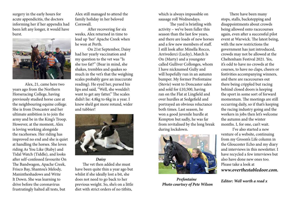surgery in the early hours for acute appendicitis, the doctors informing her if her appendix had been left any longer, it would have burst.



 Alex, 21, came here two years ago from the Northern Horseracing College, having previously studied horse care at the neighbouring equine college. She is from Doncaster and her ultimate ambition is to join the army and be in the King's Troop. However, at the moment, Alex is loving working alongside the racehorses. Her riding has improved no end and she is quiet at handling the horses. She loves riding As You Like (Ruby) and Tidal Watch (Tiddle), and looks after self-confessed favourite On The Bandwagon, Apache Creek, Frisco Bay, Shantou's Melody, Manintheshadows and Write It Down. She was learning to drive before the coronavirus frustratingly halted all tests, but

Alex still managed to attend the family holiday in her beloved Cornwall.

After recovering for six weeks, Alex returned in time to lead up 'her' Apache Creek when he won at Perth.

On 21st September, Daisy had her yearly vaccination and my question to the vet was "Is she too fat?" (Bear in mind, she shakes, trembles and quakes so much in the vet's that the weighing scales probably gave an inaccurate reading). He eyed her, pursed his lips and said, "Well, she wouldn't want to get any fatter." The scales didn't lie: 4.8kg to 6kg in a year. I knew she'd got more rotund, wider and tubbier!



*Daisy*

 The vet then added she must have been quite thin a year ago but whilst if she ideally lost a bit, she does not need to go back to her previous weight. So, she's on a little diet with strict orders of no titbits,

which is always impossible on sausage roll Wednesdays.

 The yard is bristling with activity – we've been fuller this season than the last few years, and there are loads of new horses and a few new members of staff. I still look after Minella Rocco, Arrivederci (Lucky), March Is On (Marty) and a youngster called Gulliver Collonges, whom I have nicknamed Gully and will hopefully run in an autumn bumper. My former Prefontaine (Stevie) went to Doncaster sales and sold for £10,500, having ran on the Flat at Lingfield and over hurdles at Sedgefield and portrayed an obvious reluctance both times. Last season, he won a good juvenile hurdle at Kempton but sadly, he was far from revitalised by the long break during lockdown.



 *Prefontaine Photo courtsey of Pete Wilson*

 There have been many stops, stalls, backstepping and disappointments about crowds being allowed onto racecourses again, even after a successful pilot event at Warwick. The latest being, with the new restrictions the government has just introduced, crowds may not be allowed at the Cheltenham Festival 2021. Yes, it's odd to have no crowds at the courses, to have no claps, cheers or festivities accompanying winners, and there are racecourses out there being crippled but racing behind closed doors is keeping the sport in some sort of forward momentum. The meetings are still occurring daily, so if that's keeping the racing industry going and the workers in jobs then let's welcome the autumn and the winter months. I, for one, can't wait.

 I've also started a new venture of a website, continuing from my Groom's Life column in the Gloucester Echo and my diary and interviews in this newsletter. I have recycled a few interviews but also have done new ones too. Please take a look at *www.overthestabledoor.com.*

*Editor: Well worth a read x*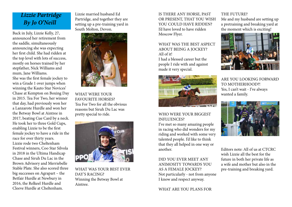# *Lizzie Partridge By Jo O'Neill*

Back in July, Lizzie Kelly, 27, announced her retirement from the saddle, simultaneously announcing she was expecting her first child. She had ridden at the top level with lots of success, mostly on horses trained by her stepfather, Nick Williams and mum, Jane Williams.

She was the first female jockey to win a Grade 1 over jumps when winning the Kauto Star Novices' Chase at Kempton on Boxing Day in 2015. Tea For Two, her winner that day, had previously won her a Lanzarote Hurdle and won her the Betway Bowl at Aintree in 2017, beating Cue Card by a neck. He took her to three Gold Cups, enabling Lizzie to be the first female jockey to have a ride in the race for over thirty years. Lizzie rode two Cheltenham Festival winners, Coo Star Silvola in 2018 in the Ultima Handicap Chase and Siruh Du Lac in the Brown Advisory and Merriebelle Stable Plate. She also scored three big successes on Agrapart – the Betfair Hurdle at Newbury in 2016, the Relkeel Hurdle and Cleeve Hurdle at Cheltenham.

Lizzie married husband Ed Partridge, and together they are setting up a pre-training yard in South Molton, Devon.



WHAT WERE YOUR FAVOURITE HORSES? Tea For Two for all the obvious reasons but Siruh Du Lac was pretty special to ride.



WHAT WAS YOUR BEST EVER DAY'S RACING? Winning the Betway Bowl at Aintree.

IS THERE ANY HORSE, PAST OR PRESENT, THAT YOU WISH YOU COULD HAVE RIDDEN? I'd have loved to have ridden Moscow Flyer.

WHAT WAS THE BEST ASPECT ABOUT BEING A JOCKEY? All of it!

I had a blessed career but the people I ride with and against made it very special.



#### WHO WERE YOUR BIGGEST INFLUENCES?

I've met so many amazing people in racing who did wonders for my riding and worked with some very talented people. I'd like to think that they all helped in one way or another.

DID YOU EVER MEET ANY ANIMOSITY TOWARDS YOU AS A FEMALE JOCKEY? Not particularly - not from anyone I know and respect anyway.

#### THE FUTURE?

Me and my husband are setting up a pretraining and breaking yard at the moment which is exciting!



ARE YOU LOOKING FORWARD TO MOTHERHOOD?! Yes, I can't wait - I've always wanted a family.



Editors note: All of us at CTCRC wish Lizzie all the best for the future in both her private life as a wife and mother but also in the pre-training and breaking yard.